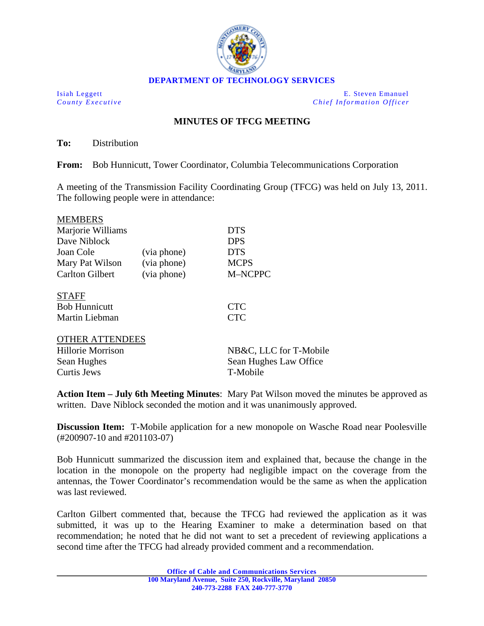

**DEPARTMENT OF TECHNOLOGY SERVICES** 

Isiah Leggett E. Steven Emanuel *County Executive County Executive Chief Information Officer* 

## **MINUTES OF TFCG MEETING**

**To:** Distribution

**From:** Bob Hunnicutt, Tower Coordinator, Columbia Telecommunications Corporation

A meeting of the Transmission Facility Coordinating Group (TFCG) was held on July 13, 2011. The following people were in attendance:

| <b>MEMBERS</b>           |             |                        |
|--------------------------|-------------|------------------------|
| Marjorie Williams        |             | <b>DTS</b>             |
| Dave Niblock             |             | <b>DPS</b>             |
| Joan Cole                | (via phone) | <b>DTS</b>             |
| Mary Pat Wilson          | (via phone) | <b>MCPS</b>            |
| <b>Carlton Gilbert</b>   | (via phone) | M-NCPPC                |
| <b>STAFF</b>             |             |                        |
| <b>Bob Hunnicutt</b>     |             | <b>CTC</b>             |
| Martin Liebman           |             | <b>CTC</b>             |
| <b>OTHER ATTENDEES</b>   |             |                        |
| <b>Hillorie Morrison</b> |             | NB&C, LLC for T-Mobile |
| Sean Hughes              |             | Sean Hughes Law Office |
| <b>Curtis Jews</b>       |             | T-Mobile               |

**Action Item – July 6th Meeting Minutes**: Mary Pat Wilson moved the minutes be approved as written. Dave Niblock seconded the motion and it was unanimously approved.

**Discussion Item:** T-Mobile application for a new monopole on Wasche Road near Poolesville (#200907-10 and #201103-07)

Bob Hunnicutt summarized the discussion item and explained that, because the change in the location in the monopole on the property had negligible impact on the coverage from the antennas, the Tower Coordinator's recommendation would be the same as when the application was last reviewed.

Carlton Gilbert commented that, because the TFCG had reviewed the application as it was submitted, it was up to the Hearing Examiner to make a determination based on that recommendation; he noted that he did not want to set a precedent of reviewing applications a second time after the TFCG had already provided comment and a recommendation.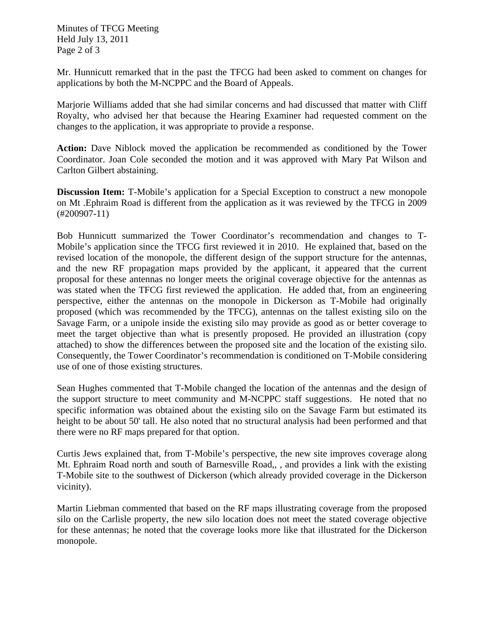Minutes of TFCG Meeting Held July 13, 2011 Page 2 of 3

Mr. Hunnicutt remarked that in the past the TFCG had been asked to comment on changes for applications by both the M-NCPPC and the Board of Appeals.

Marjorie Williams added that she had similar concerns and had discussed that matter with Cliff Royalty, who advised her that because the Hearing Examiner had requested comment on the changes to the application, it was appropriate to provide a response.

**Action:** Dave Niblock moved the application be recommended as conditioned by the Tower Coordinator. Joan Cole seconded the motion and it was approved with Mary Pat Wilson and Carlton Gilbert abstaining.

**Discussion Item:** T-Mobile's application for a Special Exception to construct a new monopole on Mt .Ephraim Road is different from the application as it was reviewed by the TFCG in 2009 (#200907-11)

Bob Hunnicutt summarized the Tower Coordinator's recommendation and changes to T-Mobile's application since the TFCG first reviewed it in 2010. He explained that, based on the revised location of the monopole, the different design of the support structure for the antennas, and the new RF propagation maps provided by the applicant, it appeared that the current proposal for these antennas no longer meets the original coverage objective for the antennas as was stated when the TFCG first reviewed the application. He added that, from an engineering perspective, either the antennas on the monopole in Dickerson as T-Mobile had originally proposed (which was recommended by the TFCG), antennas on the tallest existing silo on the Savage Farm, or a unipole inside the existing silo may provide as good as or better coverage to meet the target objective than what is presently proposed. He provided an illustration (copy attached) to show the differences between the proposed site and the location of the existing silo. Consequently, the Tower Coordinator's recommendation is conditioned on T-Mobile considering use of one of those existing structures.

Sean Hughes commented that T-Mobile changed the location of the antennas and the design of the support structure to meet community and M-NCPPC staff suggestions. He noted that no specific information was obtained about the existing silo on the Savage Farm but estimated its height to be about 50' tall. He also noted that no structural analysis had been performed and that there were no RF maps prepared for that option.

Curtis Jews explained that, from T-Mobile's perspective, the new site improves coverage along Mt. Ephraim Road north and south of Barnesville Road,, , and provides a link with the existing T-Mobile site to the southwest of Dickerson (which already provided coverage in the Dickerson vicinity).

Martin Liebman commented that based on the RF maps illustrating coverage from the proposed silo on the Carlisle property, the new silo location does not meet the stated coverage objective for these antennas; he noted that the coverage looks more like that illustrated for the Dickerson monopole.